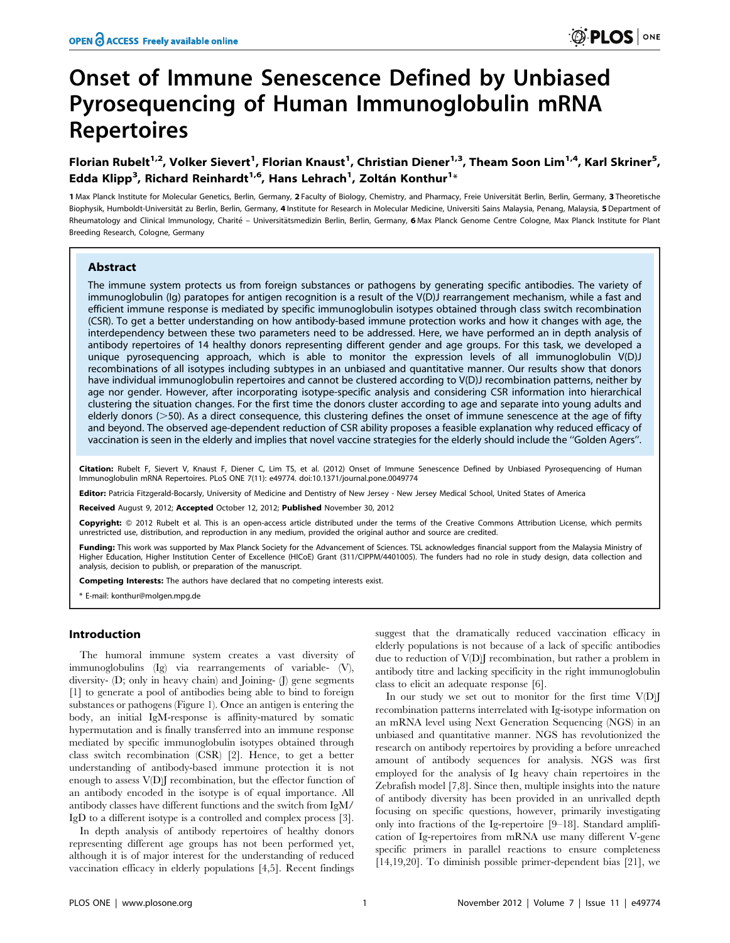# Onset of Immune Senescence Defined by Unbiased Pyrosequencing of Human Immunoglobulin mRNA Repertoires

# Florian Rubelt<sup>1,2</sup>, Volker Sievert<sup>1</sup>, Florian Knaust<sup>1</sup>, Christian Diener<sup>1,3</sup>, Theam Soon Lim<sup>1,4</sup>, Karl Skriner<sup>5</sup>, Edda Klipp<sup>3</sup>, Richard Reinhardt<sup>1,6</sup>, Hans Lehrach<sup>1</sup>, Zoltán Konthur<sup>1</sup>\*

1 Max Planck Institute for Molecular Genetics, Berlin, Germany, 2 Faculty of Biology, Chemistry, and Pharmacy, Freie Universität Berlin, Berlin, Germany, 3 Theoretische Biophysik, Humboldt-Universität zu Berlin, Berlin, Germany, 4 Institute for Research in Molecular Medicine, Universiti Sains Malaysia, Penang, Malaysia, 5 Department of Rheumatology and Clinical Immunology, Charité - Universitätsmedizin Berlin, Germany, 6 Max Planck Genome Centre Cologne, Max Planck Institute for Plant Breeding Research, Cologne, Germany

#### Abstract

The immune system protects us from foreign substances or pathogens by generating specific antibodies. The variety of immunoglobulin (Ig) paratopes for antigen recognition is a result of the V(D)J rearrangement mechanism, while a fast and efficient immune response is mediated by specific immunoglobulin isotypes obtained through class switch recombination (CSR). To get a better understanding on how antibody-based immune protection works and how it changes with age, the interdependency between these two parameters need to be addressed. Here, we have performed an in depth analysis of antibody repertoires of 14 healthy donors representing different gender and age groups. For this task, we developed a unique pyrosequencing approach, which is able to monitor the expression levels of all immunoglobulin V(D)J recombinations of all isotypes including subtypes in an unbiased and quantitative manner. Our results show that donors have individual immunoglobulin repertoires and cannot be clustered according to V(D)J recombination patterns, neither by age nor gender. However, after incorporating isotype-specific analysis and considering CSR information into hierarchical clustering the situation changes. For the first time the donors cluster according to age and separate into young adults and elderly donors ( $>$ 50). As a direct consequence, this clustering defines the onset of immune senescence at the age of fifty and beyond. The observed age-dependent reduction of CSR ability proposes a feasible explanation why reduced efficacy of vaccination is seen in the elderly and implies that novel vaccine strategies for the elderly should include the ''Golden Agers''.

Citation: Rubelt F, Sievert V, Knaust F, Diener C, Lim TS, et al. (2012) Onset of Immune Senescence Defined by Unbiased Pyrosequencing of Human Immunoglobulin mRNA Repertoires. PLoS ONE 7(11): e49774. doi:10.1371/journal.pone.0049774

Editor: Patricia Fitzgerald-Bocarsly, University of Medicine and Dentistry of New Jersey - New Jersey Medical School, United States of America

Received August 9, 2012; Accepted October 12, 2012; Published November 30, 2012

Copyright: © 2012 Rubelt et al. This is an open-access article distributed under the terms of the Creative Commons Attribution License, which permits unrestricted use, distribution, and reproduction in any medium, provided the original author and source are credited.

Funding: This work was supported by Max Planck Society for the Advancement of Sciences. TSL acknowledges financial support from the Malaysia Ministry of Higher Education, Higher Institution Center of Excellence (HICoE) Grant (311/CIPPM/4401005). The funders had no role in study design, data collection and analysis, decision to publish, or preparation of the manuscript.

Competing Interests: The authors have declared that no competing interests exist.

\* E-mail: konthur@molgen.mpg.de

#### Introduction

The humoral immune system creates a vast diversity of immunoglobulins (Ig) via rearrangements of variable- (V), diversity- (D; only in heavy chain) and Joining- (J) gene segments [1] to generate a pool of antibodies being able to bind to foreign substances or pathogens (Figure 1). Once an antigen is entering the body, an initial IgM-response is affinity-matured by somatic hypermutation and is finally transferred into an immune response mediated by specific immunoglobulin isotypes obtained through class switch recombination (CSR) [2]. Hence, to get a better understanding of antibody-based immune protection it is not enough to assess V(D)J recombination, but the effector function of an antibody encoded in the isotype is of equal importance. All antibody classes have different functions and the switch from IgM/ IgD to a different isotype is a controlled and complex process [3].

In depth analysis of antibody repertoires of healthy donors representing different age groups has not been performed yet, although it is of major interest for the understanding of reduced vaccination efficacy in elderly populations [4,5]. Recent findings

suggest that the dramatically reduced vaccination efficacy in elderly populations is not because of a lack of specific antibodies due to reduction of V(D)J recombination, but rather a problem in antibody titre and lacking specificity in the right immunoglobulin class to elicit an adequate response [6].

In our study we set out to monitor for the first time V(D)J recombination patterns interrelated with Ig-isotype information on an mRNA level using Next Generation Sequencing (NGS) in an unbiased and quantitative manner. NGS has revolutionized the research on antibody repertoires by providing a before unreached amount of antibody sequences for analysis. NGS was first employed for the analysis of Ig heavy chain repertoires in the Zebrafish model [7,8]. Since then, multiple insights into the nature of antibody diversity has been provided in an unrivalled depth focusing on specific questions, however, primarily investigating only into fractions of the Ig-repertoire [9–18]. Standard amplification of Ig-repertoires from mRNA use many different V-gene specific primers in parallel reactions to ensure completeness [14,19,20]. To diminish possible primer-dependent bias [21], we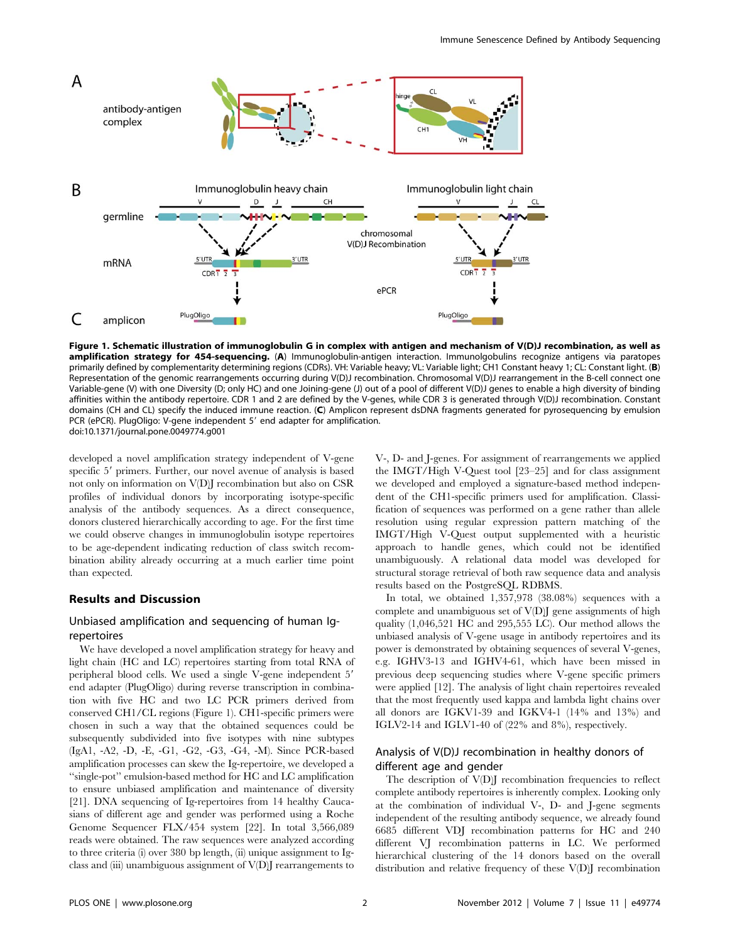

Figure 1. Schematic illustration of immunoglobulin G in complex with antigen and mechanism of V(D)J recombination, as well as amplification strategy for 454-sequencing. (A) Immunoglobulin-antigen interaction. Immunolgobulins recognize antigens via paratopes primarily defined by complementarity determining regions (CDRs). VH: Variable heavy; VL: Variable light; CH1 Constant heavy 1; CL: Constant light. (B) Representation of the genomic rearrangements occurring during V(D)J recombination. Chromosomal V(D)J rearrangement in the B-cell connect one Variable-gene (V) with one Diversity (D; only HC) and one Joining-gene (J) out of a pool of different V(D)J genes to enable a high diversity of binding affinities within the antibody repertoire. CDR 1 and 2 are defined by the V-genes, while CDR 3 is generated through V(D)J recombination. Constant domains (CH and CL) specify the induced immune reaction. (C) Amplicon represent dsDNA fragments generated for pyrosequencing by emulsion PCR (ePCR). PlugOligo: V-gene independent 5' end adapter for amplification. doi:10.1371/journal.pone.0049774.g001

developed a novel amplification strategy independent of V-gene specific 5' primers. Further, our novel avenue of analysis is based not only on information on V(D)J recombination but also on CSR profiles of individual donors by incorporating isotype-specific analysis of the antibody sequences. As a direct consequence, donors clustered hierarchically according to age. For the first time we could observe changes in immunoglobulin isotype repertoires to be age-dependent indicating reduction of class switch recombination ability already occurring at a much earlier time point than expected.

#### Results and Discussion

### Unbiased amplification and sequencing of human Igrepertoires

We have developed a novel amplification strategy for heavy and light chain (HC and LC) repertoires starting from total RNA of peripheral blood cells. We used a single V-gene independent 5' end adapter (PlugOligo) during reverse transcription in combination with five HC and two LC PCR primers derived from conserved CH1/CL regions (Figure 1). CH1-specific primers were chosen in such a way that the obtained sequences could be subsequently subdivided into five isotypes with nine subtypes (IgA1, -A2, -D, -E, -G1, -G2, -G3, -G4, -M). Since PCR-based amplification processes can skew the Ig-repertoire, we developed a ''single-pot'' emulsion-based method for HC and LC amplification to ensure unbiased amplification and maintenance of diversity [21]. DNA sequencing of Ig-repertoires from 14 healthy Caucasians of different age and gender was performed using a Roche Genome Sequencer FLX/454 system [22]. In total 3,566,089 reads were obtained. The raw sequences were analyzed according to three criteria (i) over 380 bp length, (ii) unique assignment to Igclass and (iii) unambiguous assignment of V(D)J rearrangements to

V-, D- and J-genes. For assignment of rearrangements we applied the IMGT/High V-Quest tool [23–25] and for class assignment we developed and employed a signature-based method independent of the CH1-specific primers used for amplification. Classification of sequences was performed on a gene rather than allele resolution using regular expression pattern matching of the IMGT/High V-Quest output supplemented with a heuristic approach to handle genes, which could not be identified unambiguously. A relational data model was developed for structural storage retrieval of both raw sequence data and analysis results based on the PostgreSQL RDBMS.

In total, we obtained 1,357,978 (38.08%) sequences with a complete and unambiguous set of V(D)J gene assignments of high quality (1,046,521 HC and 295,555 LC). Our method allows the unbiased analysis of V-gene usage in antibody repertoires and its power is demonstrated by obtaining sequences of several V-genes, e.g. IGHV3-13 and IGHV4-61, which have been missed in previous deep sequencing studies where V-gene specific primers were applied [12]. The analysis of light chain repertoires revealed that the most frequently used kappa and lambda light chains over all donors are IGKV1-39 and IGKV4-1 (14% and 13%) and IGLV2-14 and IGLV1-40 of (22% and 8%), respectively.

# Analysis of V(D)J recombination in healthy donors of different age and gender

The description of V(D)I recombination frequencies to reflect complete antibody repertoires is inherently complex. Looking only at the combination of individual V-, D- and J-gene segments independent of the resulting antibody sequence, we already found 6685 different VDJ recombination patterns for HC and 240 different VJ recombination patterns in LC. We performed hierarchical clustering of the 14 donors based on the overall distribution and relative frequency of these V(D)J recombination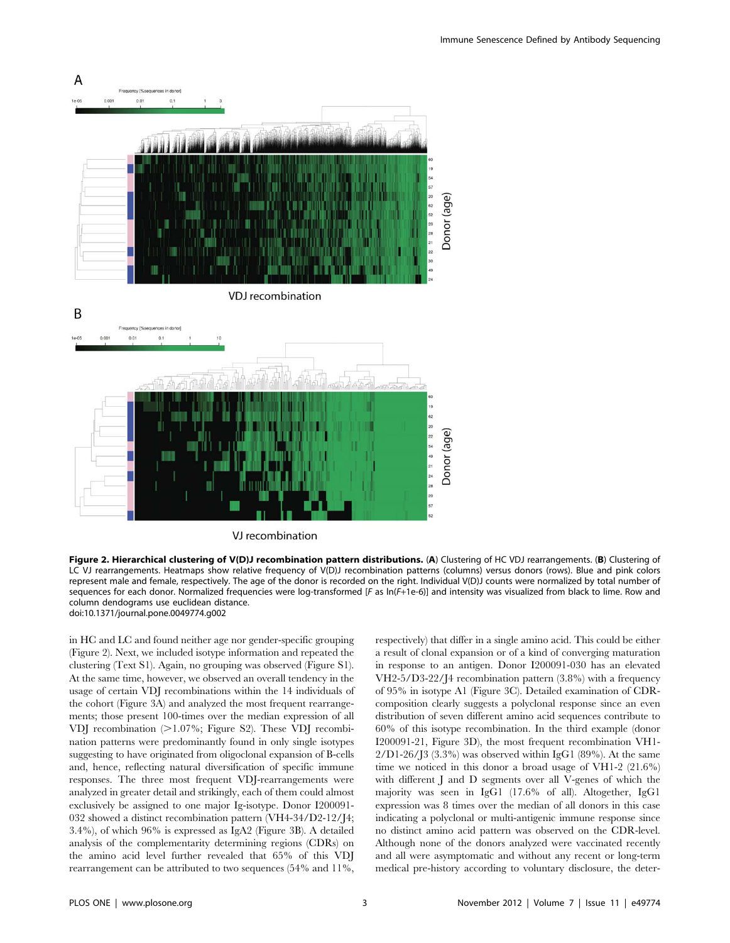

Figure 2. Hierarchical clustering of V(D)J recombination pattern distributions. (A) Clustering of HC VDJ rearrangements. (B) Clustering of LC VJ rearrangements. Heatmaps show relative frequency of V(D)J recombination patterns (columns) versus donors (rows). Blue and pink colors represent male and female, respectively. The age of the donor is recorded on the right. Individual V(D)J counts were normalized by total number of sequences for each donor. Normalized frequencies were log-transformed [F as ln(F+1e-6)] and intensity was visualized from black to lime. Row and column dendograms use euclidean distance. doi:10.1371/journal.pone.0049774.g002

in HC and LC and found neither age nor gender-specific grouping (Figure 2). Next, we included isotype information and repeated the clustering (Text S1). Again, no grouping was observed (Figure S1). At the same time, however, we observed an overall tendency in the usage of certain VDJ recombinations within the 14 individuals of the cohort (Figure 3A) and analyzed the most frequent rearrangements; those present 100-times over the median expression of all VDJ recombination  $(>1.07\%;$  Figure S2). These VDJ recombination patterns were predominantly found in only single isotypes suggesting to have originated from oligoclonal expansion of B-cells and, hence, reflecting natural diversification of specific immune responses. The three most frequent VDJ-rearrangements were analyzed in greater detail and strikingly, each of them could almost exclusively be assigned to one major Ig-isotype. Donor I200091- 032 showed a distinct recombination pattern (VH4-34/D2-12/J4; 3.4%), of which 96% is expressed as IgA2 (Figure 3B). A detailed analysis of the complementarity determining regions (CDRs) on the amino acid level further revealed that 65% of this VDJ rearrangement can be attributed to two sequences (54% and 11%, respectively) that differ in a single amino acid. This could be either a result of clonal expansion or of a kind of converging maturation in response to an antigen. Donor I200091-030 has an elevated VH2-5/D3-22/J4 recombination pattern (3.8%) with a frequency of 95% in isotype A1 (Figure 3C). Detailed examination of CDRcomposition clearly suggests a polyclonal response since an even distribution of seven different amino acid sequences contribute to 60% of this isotype recombination. In the third example (donor I200091-21, Figure 3D), the most frequent recombination VH1-  $2/D1-26/3$  (3.3%) was observed within IgG1 (89%). At the same time we noticed in this donor a broad usage of VH1-2 (21.6%) with different J and D segments over all V-genes of which the majority was seen in IgG1 (17.6% of all). Altogether, IgG1 expression was 8 times over the median of all donors in this case indicating a polyclonal or multi-antigenic immune response since no distinct amino acid pattern was observed on the CDR-level. Although none of the donors analyzed were vaccinated recently and all were asymptomatic and without any recent or long-term medical pre-history according to voluntary disclosure, the deter-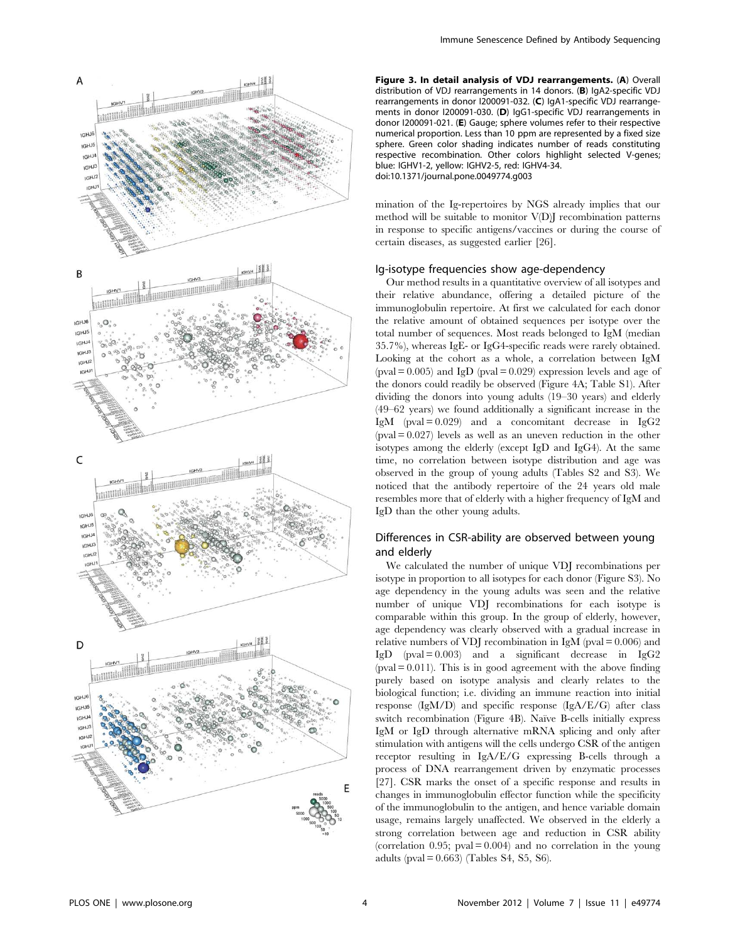

Figure 3. In detail analysis of VDJ rearrangements. (A) Overall distribution of VDJ rearrangements in 14 donors. (B) IgA2-specific VDJ rearrangements in donor I200091-032. (C) IgA1-specific VDJ rearrangements in donor I200091-030. (D) IgG1-specific VDJ rearrangements in donor I200091-021. (E) Gauge; sphere volumes refer to their respective numerical proportion. Less than 10 ppm are represented by a fixed size sphere. Green color shading indicates number of reads constituting respective recombination. Other colors highlight selected V-genes; blue: IGHV1-2, yellow: IGHV2-5, red: IGHV4-34. doi:10.1371/journal.pone.0049774.g003

mination of the Ig-repertoires by NGS already implies that our method will be suitable to monitor V(D)J recombination patterns in response to specific antigens/vaccines or during the course of certain diseases, as suggested earlier [26].

#### Ig-isotype frequencies show age-dependency

Our method results in a quantitative overview of all isotypes and their relative abundance, offering a detailed picture of the immunoglobulin repertoire. At first we calculated for each donor the relative amount of obtained sequences per isotype over the total number of sequences. Most reads belonged to IgM (median 35.7%), whereas IgE- or IgG4-specific reads were rarely obtained. Looking at the cohort as a whole, a correlation between IgM  $(pval = 0.005)$  and IgD  $(pval = 0.029)$  expression levels and age of the donors could readily be observed (Figure 4A; Table S1). After dividing the donors into young adults (19–30 years) and elderly (49–62 years) we found additionally a significant increase in the IgM (pval = 0.029) and a concomitant decrease in IgG2  $(pval = 0.027)$  levels as well as an uneven reduction in the other isotypes among the elderly (except IgD and IgG4). At the same time, no correlation between isotype distribution and age was observed in the group of young adults (Tables S2 and S3). We noticed that the antibody repertoire of the 24 years old male resembles more that of elderly with a higher frequency of IgM and IgD than the other young adults.

#### Differences in CSR-ability are observed between young and elderly

We calculated the number of unique VDJ recombinations per isotype in proportion to all isotypes for each donor (Figure S3). No age dependency in the young adults was seen and the relative number of unique VDJ recombinations for each isotype is comparable within this group. In the group of elderly, however, age dependency was clearly observed with a gradual increase in relative numbers of VDJ recombination in IgM (pval  $= 0.006$ ) and IgD (pval =  $0.003$ ) and a significant decrease in IgG2  $(pval = 0.011)$ . This is in good agreement with the above finding purely based on isotype analysis and clearly relates to the biological function; i.e. dividing an immune reaction into initial response (IgM/D) and specific response (IgA/E/G) after class switch recombination (Figure 4B). Naïve B-cells initially express IgM or IgD through alternative mRNA splicing and only after stimulation with antigens will the cells undergo CSR of the antigen receptor resulting in IgA/E/G expressing B-cells through a process of DNA rearrangement driven by enzymatic processes [27]. CSR marks the onset of a specific response and results in changes in immunoglobulin effector function while the specificity of the immunoglobulin to the antigen, and hence variable domain usage, remains largely unaffected. We observed in the elderly a strong correlation between age and reduction in CSR ability (correlation  $0.95$ ; pval = 0.004) and no correlation in the young adults (pval  $= 0.663$ ) (Tables S4, S5, S6).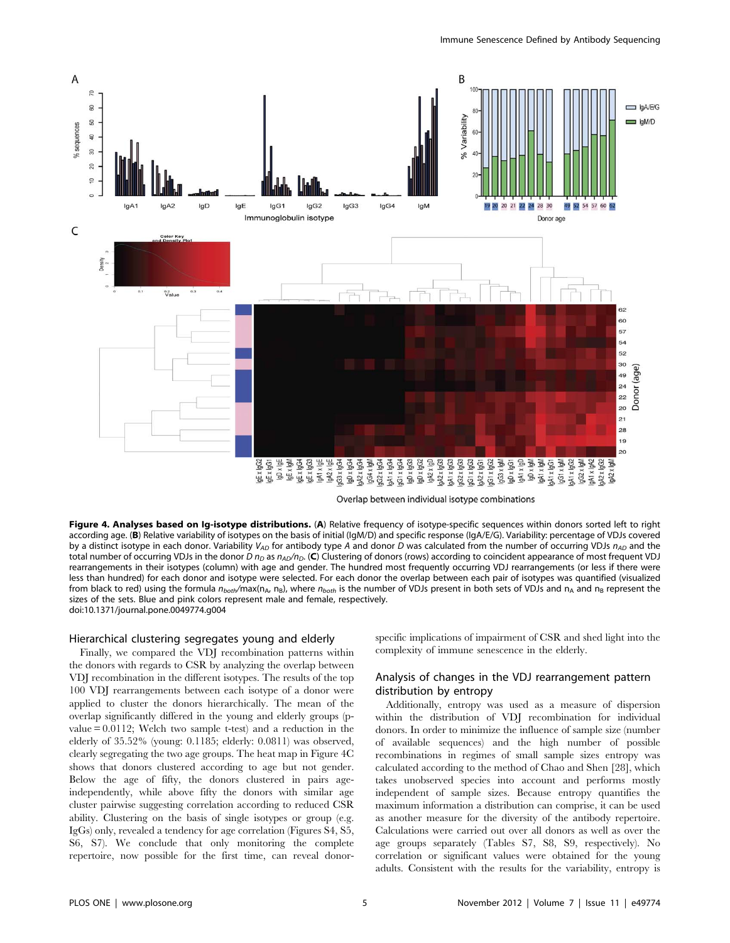

Overlap between individual isotype combinations

Figure 4. Analyses based on Ig-isotype distributions. (A) Relative frequency of isotype-specific sequences within donors sorted left to right according age. (B) Relative variability of isotypes on the basis of initial (IgM/D) and specific response (IgA/E/G). Variability: percentage of VDJs covered by a distinct isotype in each donor. Variability  $V_{AD}$  for antibody type A and donor D was calculated from the number of occurring VDJs  $n_{AD}$  and the total number of occurring VDJs in the donor D  $n_D$  as  $n_A$  $p_B$ . (C) Clustering of donors (rows) according to coincident appearance of most frequent VDJ rearrangements in their isotypes (column) with age and gender. The hundred most frequently occurring VDJ rearrangements (or less if there were less than hundred) for each donor and isotype were selected. For each donor the overlap between each pair of isotypes was quantified (visualized from black to red) using the formula  $n_{bot}/m$ ax(n<sub>A</sub>, n<sub>B</sub>), where  $n_{bot}$  is the number of VDJs present in both sets of VDJs and n<sub>A</sub> and n<sub>B</sub> represent the sizes of the sets. Blue and pink colors represent male and female, respectively. doi:10.1371/journal.pone.0049774.g004

#### Hierarchical clustering segregates young and elderly

Finally, we compared the VDJ recombination patterns within the donors with regards to CSR by analyzing the overlap between VDJ recombination in the different isotypes. The results of the top 100 VDJ rearrangements between each isotype of a donor were applied to cluster the donors hierarchically. The mean of the overlap significantly differed in the young and elderly groups (pvalue = 0.0112; Welch two sample t-test) and a reduction in the elderly of 35.52% (young: 0.1185; elderly: 0.0811) was observed, clearly segregating the two age groups. The heat map in Figure 4C shows that donors clustered according to age but not gender. Below the age of fifty, the donors clustered in pairs ageindependently, while above fifty the donors with similar age cluster pairwise suggesting correlation according to reduced CSR ability. Clustering on the basis of single isotypes or group (e.g. IgGs) only, revealed a tendency for age correlation (Figures S4, S5, S6, S7). We conclude that only monitoring the complete repertoire, now possible for the first time, can reveal donorspecific implications of impairment of CSR and shed light into the complexity of immune senescence in the elderly.

# Analysis of changes in the VDJ rearrangement pattern distribution by entropy

Additionally, entropy was used as a measure of dispersion within the distribution of VDJ recombination for individual donors. In order to minimize the influence of sample size (number of available sequences) and the high number of possible recombinations in regimes of small sample sizes entropy was calculated according to the method of Chao and Shen [28], which takes unobserved species into account and performs mostly independent of sample sizes. Because entropy quantifies the maximum information a distribution can comprise, it can be used as another measure for the diversity of the antibody repertoire. Calculations were carried out over all donors as well as over the age groups separately (Tables S7, S8, S9, respectively). No correlation or significant values were obtained for the young adults. Consistent with the results for the variability, entropy is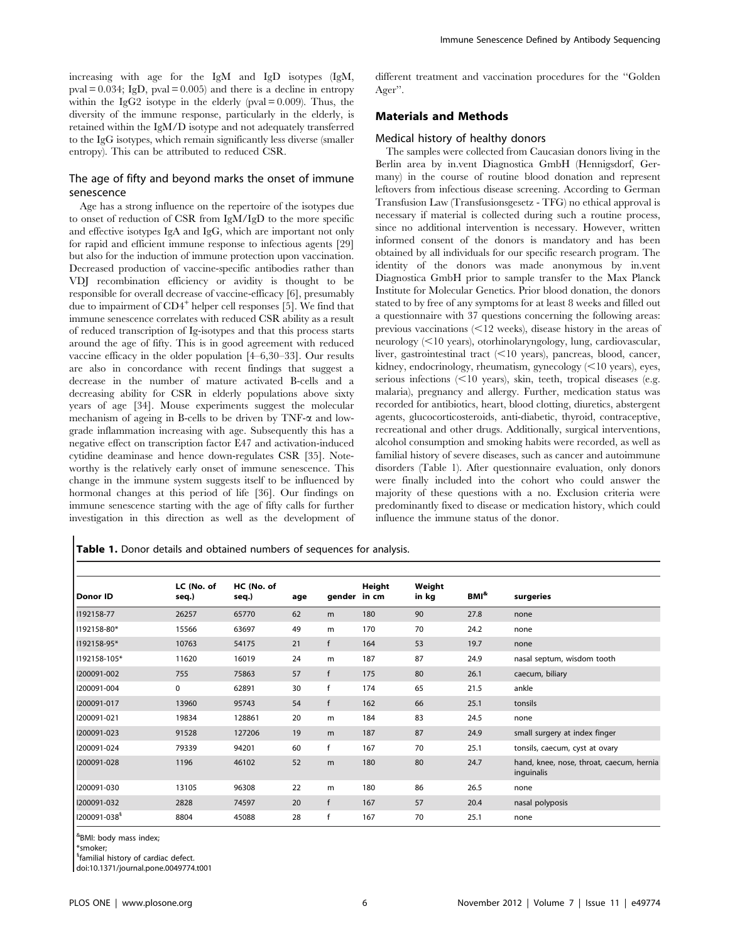increasing with age for the IgM and IgD isotypes (IgM,  $pval = 0.034$ ; IgD,  $pval = 0.005$  and there is a decline in entropy within the IgG2 isotype in the elderly (pval  $= 0.009$ ). Thus, the diversity of the immune response, particularly in the elderly, is retained within the IgM/D isotype and not adequately transferred to the IgG isotypes, which remain significantly less diverse (smaller entropy). This can be attributed to reduced CSR.

#### The age of fifty and beyond marks the onset of immune senescence

Age has a strong influence on the repertoire of the isotypes due to onset of reduction of CSR from IgM/IgD to the more specific and effective isotypes IgA and IgG, which are important not only for rapid and efficient immune response to infectious agents [29] but also for the induction of immune protection upon vaccination. Decreased production of vaccine-specific antibodies rather than VDJ recombination efficiency or avidity is thought to be responsible for overall decrease of vaccine-efficacy [6], presumably due to impairment of CD4<sup>+</sup> helper cell responses [5]. We find that immune senescence correlates with reduced CSR ability as a result of reduced transcription of Ig-isotypes and that this process starts around the age of fifty. This is in good agreement with reduced vaccine efficacy in the older population [4–6,30–33]. Our results are also in concordance with recent findings that suggest a decrease in the number of mature activated B-cells and a decreasing ability for CSR in elderly populations above sixty years of age [34]. Mouse experiments suggest the molecular mechanism of ageing in B-cells to be driven by  $TNF-\alpha$  and lowgrade inflammation increasing with age. Subsequently this has a negative effect on transcription factor E47 and activation-induced cytidine deaminase and hence down-regulates CSR [35]. Noteworthy is the relatively early onset of immune senescence. This change in the immune system suggests itself to be influenced by hormonal changes at this period of life [36]. Our findings on immune senescence starting with the age of fifty calls for further investigation in this direction as well as the development of different treatment and vaccination procedures for the ''Golden Ager''.

#### Materials and Methods

#### Medical history of healthy donors

The samples were collected from Caucasian donors living in the Berlin area by in.vent Diagnostica GmbH (Hennigsdorf, Germany) in the course of routine blood donation and represent leftovers from infectious disease screening. According to German Transfusion Law (Transfusionsgesetz - TFG) no ethical approval is necessary if material is collected during such a routine process, since no additional intervention is necessary. However, written informed consent of the donors is mandatory and has been obtained by all individuals for our specific research program. The identity of the donors was made anonymous by in.vent Diagnostica GmbH prior to sample transfer to the Max Planck Institute for Molecular Genetics. Prior blood donation, the donors stated to by free of any symptoms for at least 8 weeks and filled out a questionnaire with 37 questions concerning the following areas: previous vaccinations  $\leq 12$  weeks), disease history in the areas of neurology  $\leq 10$  years), otorhinolaryngology, lung, cardiovascular, liver, gastrointestinal tract  $\leq 10$  years), pancreas, blood, cancer, kidney, endocrinology, rheumatism, gynecology  $\leq 10$  years), eyes, serious infections  $\leq 10$  years), skin, teeth, tropical diseases (e.g. malaria), pregnancy and allergy. Further, medication status was recorded for antibiotics, heart, blood clotting, diuretics, abstergent agents, glucocorticosteroids, anti-diabetic, thyroid, contraceptive, recreational and other drugs. Additionally, surgical interventions, alcohol consumption and smoking habits were recorded, as well as familial history of severe diseases, such as cancer and autoimmune disorders (Table 1). After questionnaire evaluation, only donors were finally included into the cohort who could answer the majority of these questions with a no. Exclusion criteria were predominantly fixed to disease or medication history, which could influence the immune status of the donor.

Table 1. Donor details and obtained numbers of sequences for analysis.

| Donor ID                 | LC (No. of<br>seq.) | HC (No. of<br>seq.) | age | gender in cm | Height | Weight<br>in kg | BMI <sup>&amp;</sup> | surgeries                                              |
|--------------------------|---------------------|---------------------|-----|--------------|--------|-----------------|----------------------|--------------------------------------------------------|
| 1192158-77               | 26257               | 65770               | 62  | m            | 180    | 90              | 27.8                 | none                                                   |
| 1192158-80*              | 15566               | 63697               | 49  | m            | 170    | 70              | 24.2                 | none                                                   |
| 1192158-95*              | 10763               | 54175               | 21  | f            | 164    | 53              | 19.7                 | none                                                   |
| 1192158-105*             | 11620               | 16019               | 24  | m            | 187    | 87              | 24.9                 | nasal septum, wisdom tooth                             |
| 1200091-002              | 755                 | 75863               | 57  | $\mathsf{f}$ | 175    | 80              | 26.1                 | caecum, biliary                                        |
| 1200091-004              | 0                   | 62891               | 30  | f            | 174    | 65              | 21.5                 | ankle                                                  |
| I200091-017              | 13960               | 95743               | 54  | $\mathsf{f}$ | 162    | 66              | 25.1                 | tonsils                                                |
| 1200091-021              | 19834               | 128861              | 20  | m            | 184    | 83              | 24.5                 | none                                                   |
| 1200091-023              | 91528               | 127206              | 19  | m            | 187    | 87              | 24.9                 | small surgery at index finger                          |
| 1200091-024              | 79339               | 94201               | 60  | $\mathsf{f}$ | 167    | 70              | 25.1                 | tonsils, caecum, cyst at ovary                         |
| 1200091-028              | 1196                | 46102               | 52  | m            | 180    | 80              | 24.7                 | hand, knee, nose, throat, caecum, hernia<br>inguinalis |
| 1200091-030              | 13105               | 96308               | 22  | m            | 180    | 86              | 26.5                 | none                                                   |
| 1200091-032              | 2828                | 74597               | 20  | $\mathsf{f}$ | 167    | 57              | 20.4                 | nasal polyposis                                        |
| I200091-038 <sup>§</sup> | 8804                | 45088               | 28  | $\mathsf{f}$ | 167    | 70              | 25.1                 | none                                                   |

& BMI: body mass index;

\*smoker;

<sup>§</sup>familial history of cardiac defect.

doi:10.1371/journal.pone.0049774.t001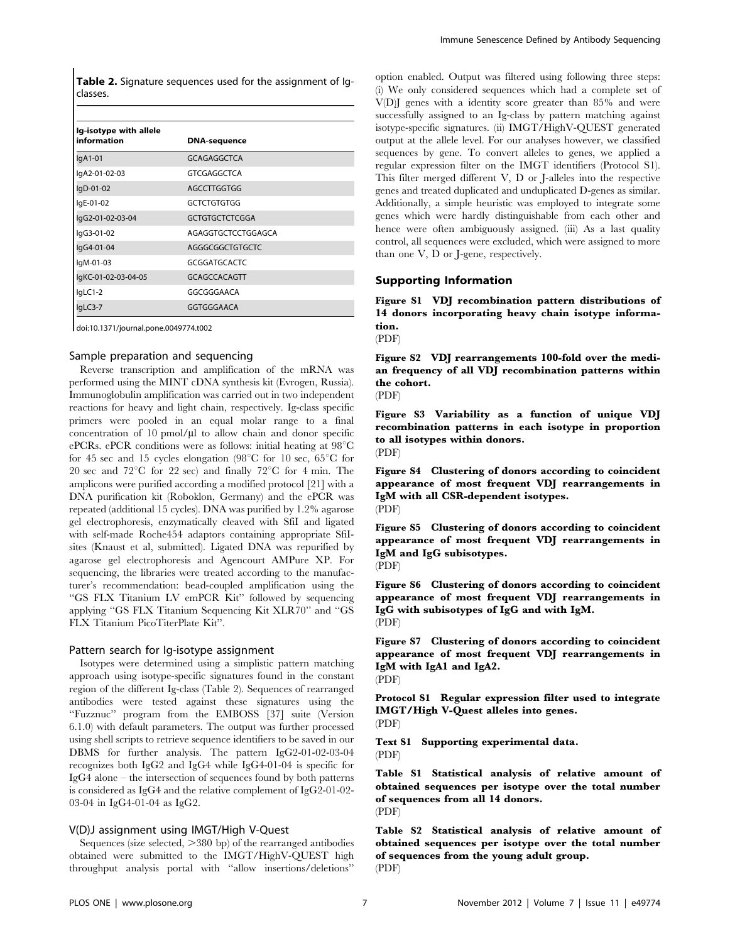Table 2. Signature sequences used for the assignment of Igclasses.

| Ig-isotype with allele<br>information | <b>DNA-sequence</b>   |  |  |  |  |
|---------------------------------------|-----------------------|--|--|--|--|
| $IqA1-01$                             | GCAGAGGCTCA           |  |  |  |  |
| lgA2-01-02-03                         | <b>GTCGAGGCTCA</b>    |  |  |  |  |
| lgD-01-02                             | AGCCTTGGTGG           |  |  |  |  |
| lgE-01-02                             | <b>GCTCTGTGTGG</b>    |  |  |  |  |
| lgG2-01-02-03-04                      | <b>GCTGTGCTCTCGGA</b> |  |  |  |  |
| lgG3-01-02                            | AGAGGTGCTCCTGGAGCA    |  |  |  |  |
| lgG4-01-04                            | AGGGCGGCTGTGCTC       |  |  |  |  |
| IgM-01-03                             | <b>GCGGATGCACTC</b>   |  |  |  |  |
| lgKC-01-02-03-04-05                   | <b>GCAGCCACAGTT</b>   |  |  |  |  |
| lgLC1-2                               | GGCGGGAACA            |  |  |  |  |
| lgLC3-7                               | GGTGGGAACA            |  |  |  |  |

doi:10.1371/journal.pone.0049774.t002

#### Sample preparation and sequencing

Reverse transcription and amplification of the mRNA was performed using the MINT cDNA synthesis kit (Evrogen, Russia). Immunoglobulin amplification was carried out in two independent reactions for heavy and light chain, respectively. Ig-class specific primers were pooled in an equal molar range to a final concentration of  $10 \text{ pmol}/\mu l$  to allow chain and donor specific ePCRs. ePCR conditions were as follows: initial heating at  $98^{\circ}$ C for 45 sec and 15 cycles elongation (98 $^{\circ}$ C for 10 sec, 65 $^{\circ}$ C for 20 sec and  $72^{\circ}$ C for 22 sec) and finally  $72^{\circ}$ C for 4 min. The amplicons were purified according a modified protocol [21] with a DNA purification kit (Roboklon, Germany) and the ePCR was repeated (additional 15 cycles). DNA was purified by 1.2% agarose gel electrophoresis, enzymatically cleaved with SfiI and ligated with self-made Roche454 adaptors containing appropriate SfiIsites (Knaust et al, submitted). Ligated DNA was repurified by agarose gel electrophoresis and Agencourt AMPure XP. For sequencing, the libraries were treated according to the manufacturer's recommendation: bead-coupled amplification using the "GS FLX Titanium LV emPCR Kit" followed by sequencing applying ''GS FLX Titanium Sequencing Kit XLR70'' and ''GS FLX Titanium PicoTiterPlate Kit''.

#### Pattern search for Ig-isotype assignment

Isotypes were determined using a simplistic pattern matching approach using isotype-specific signatures found in the constant region of the different Ig-class (Table 2). Sequences of rearranged antibodies were tested against these signatures using the ''Fuzznuc'' program from the EMBOSS [37] suite (Version 6.1.0) with default parameters. The output was further processed using shell scripts to retrieve sequence identifiers to be saved in our DBMS for further analysis. The pattern IgG2-01-02-03-04 recognizes both IgG2 and IgG4 while IgG4-01-04 is specific for IgG4 alone – the intersection of sequences found by both patterns is considered as IgG4 and the relative complement of IgG2-01-02- 03-04 in IgG4-01-04 as IgG2.

#### V(D)J assignment using IMGT/High V-Quest

Sequences (size selected,  $>380$  bp) of the rearranged antibodies obtained were submitted to the IMGT/HighV-QUEST high throughput analysis portal with ''allow insertions/deletions''

option enabled. Output was filtered using following three steps: (i) We only considered sequences which had a complete set of V(D)J genes with a identity score greater than 85% and were successfully assigned to an Ig-class by pattern matching against isotype-specific signatures. (ii) IMGT/HighV-QUEST generated output at the allele level. For our analyses however, we classified sequences by gene. To convert alleles to genes, we applied a regular expression filter on the IMGT identifiers (Protocol S1). This filter merged different V, D or J-alleles into the respective genes and treated duplicated and unduplicated D-genes as similar. Additionally, a simple heuristic was employed to integrate some genes which were hardly distinguishable from each other and hence were often ambiguously assigned. (iii) As a last quality control, all sequences were excluded, which were assigned to more than one V, D or J-gene, respectively.

#### Supporting Information

Figure S1 VDJ recombination pattern distributions of 14 donors incorporating heavy chain isotype information.

(PDF)

Figure S2 VDJ rearrangements 100-fold over the median frequency of all VDJ recombination patterns within the cohort.

(PDF)

Figure S3 Variability as a function of unique VDJ recombination patterns in each isotype in proportion to all isotypes within donors. (PDF)

Figure S4 Clustering of donors according to coincident appearance of most frequent VDJ rearrangements in IgM with all CSR-dependent isotypes. (PDF)

Figure S5 Clustering of donors according to coincident appearance of most frequent VDJ rearrangements in IgM and IgG subisotypes. (PDF)

Figure S6 Clustering of donors according to coincident appearance of most frequent VDJ rearrangements in IgG with subisotypes of IgG and with IgM. (PDF)

Figure S7 Clustering of donors according to coincident appearance of most frequent VDJ rearrangements in IgM with IgA1 and IgA2.

(PDF)

Protocol S1 Regular expression filter used to integrate IMGT/High V-Quest alleles into genes. (PDF)

Text S1 Supporting experimental data. (PDF)

Table S1 Statistical analysis of relative amount of obtained sequences per isotype over the total number of sequences from all 14 donors. (PDF)

Table S2 Statistical analysis of relative amount of obtained sequences per isotype over the total number of sequences from the young adult group. (PDF)